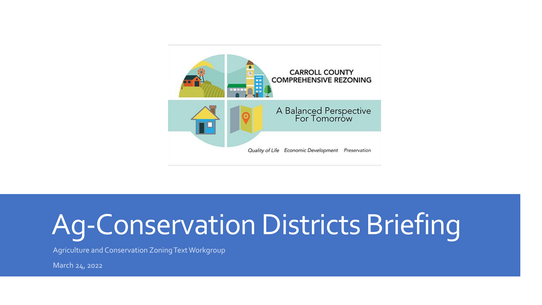

# Ag-Conservation Districts Briefing

Agriculture and Conservation Zoning Text Workgroup

March 24, 2022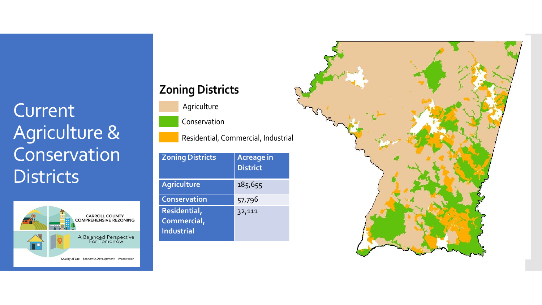#### Current Agriculture & Conservation **Districts**



#### **Zoning Districts**

Agriculture

Conservation

Residential, Commercial, Industrial

| <b>Zoning Districts</b>                          | <b>Acreage in</b><br><b>District</b> |
|--------------------------------------------------|--------------------------------------|
| <b>Agriculture</b>                               | 185,655                              |
| <b>Conservation</b>                              | 57,796                               |
| Residential,<br>Commercial,<br><b>Industrial</b> | 32,111                               |

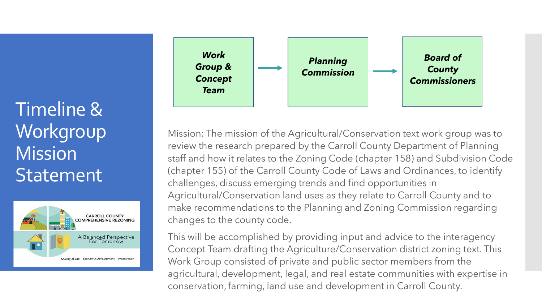Timeline & **Workgroup Mission Statement** 





Mission: The mission of the Agricultural/Conservation text work group was to review the research prepared by the Carroll County Department of Planning staff and how it relates to the Zoning Code (chapter 158) and Subdivision Code (chapter 155) of the Carroll County Code of Laws and Ordinances, to identify challenges, discuss emerging trends and find opportunities in Agricultural/Conservation land uses as they relate to Carroll County and to make recommendations to the Planning and Zoning Commission regarding changes to the county code.

Work Group consisted of private and public sector members from the<br>agricultural, development, legal, and real estate communities with expertise in This will be accomplished by providing input and advice to the interagency Concept Team drafting the Agriculture/Conservation district zoning text. This Work Group consisted of private and public sector members from the conservation, farming, land use and development in Carroll County.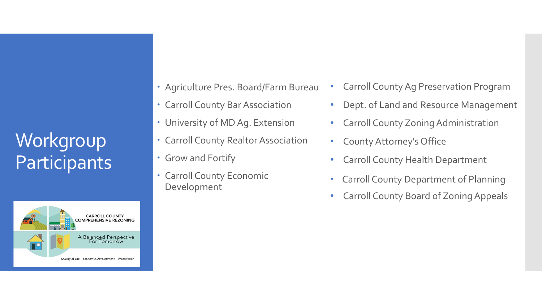## **Workgroup Participants**



- Agriculture Pres. Board/Farm Bureau
- Carroll County Bar Association
- University of MD Ag. Extension
- Carroll County Realtor Association
- Grow and Fortify
- Carroll County Economic Development
- Carroll County Ag Preservation Program
- Dept. of Land and Resource Management
- Carroll County Zoning Administration
- County Attorney's Office
- Carroll County Health Department
- Carroll County Department of Planning
- Carroll County Board of Zoning Appeals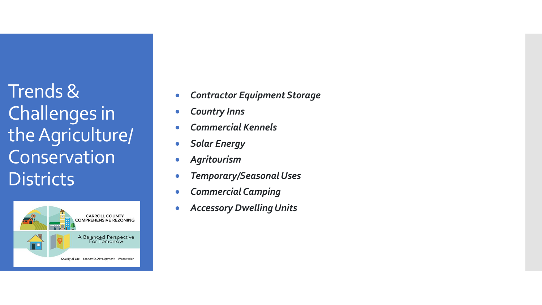Trends & Challenges in the Agriculture/ Conservation **Districts** 



- *Contractor Equipment Storage*
- *Country Inns*
- *Commercial Kennels*
- *Solar Energy*
- *Agritourism*
- *Temporary/Seasonal Uses*
- *Commercial Camping*
- *Accessory Dwelling Units*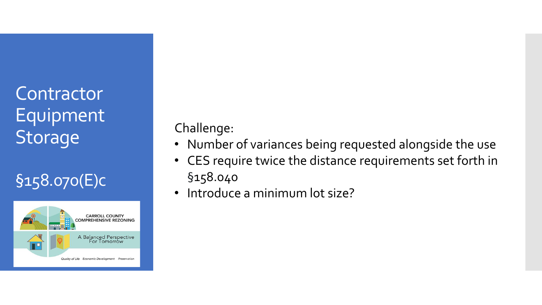### **Contractor** Equipment Storage

#### §158.070(E)c



Challenge:

- Number of variances being requested alongside the use
- CES require twice the distance requirements set forth in §158.040
- Introduce a minimum lot size?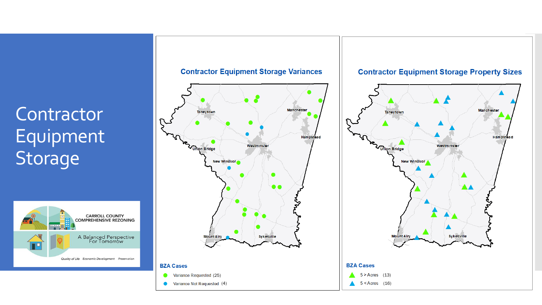#### **Contractor** Equipment **Storage**





**Contractor Equipment Storage Variances** 

**Contractor Equipment Storage Property Sizes** 

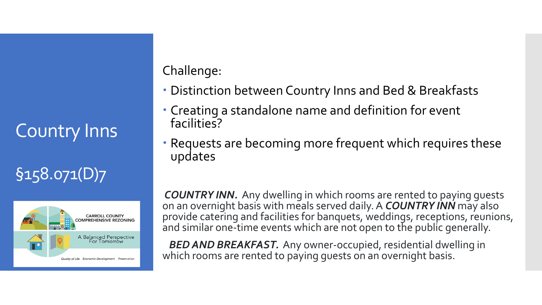## Country Inns

#### §158.071(D)7



Challenge:

- Distinction between Country Inns and Bed & Breakfasts
- Creating a standalone name and definition for event facilities?
- Requests are becoming more frequent which requires these updates

*COUNTRY INN.* Any dwelling in which rooms are rented to paying guests on an overnight basis with meals served daily. A *COUNTRY INN* may also provide catering and facilities for banquets, weddings, receptions, reunions, and similar one-time events which are not open to the public generally.

*BED AND BREAKFAST.* Any owner-occupied, residential dwelling in which rooms are rented to paying guests on an overnight basis.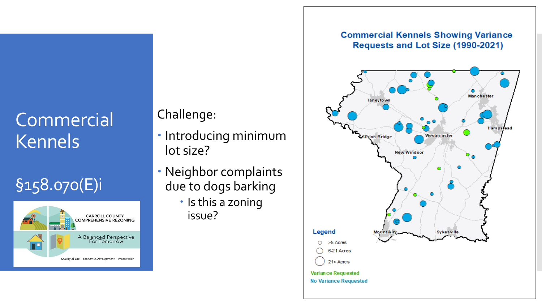### Commercial Kennels

#### §158.070(E)i



Challenge:

- · Introducing minimum lot size?
- Neighbor complaints due to dogs barking
	- Is this a zoning issue?

#### **Commercial Kennels Showing Variance** Requests and Lot Size (1990-2021)

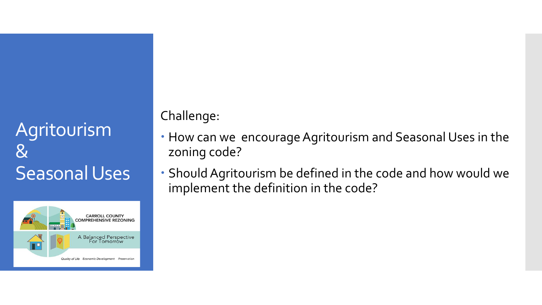#### Agritourism  $8\,$ Seasonal Uses



Challenge:

- How can we encourage Agritourism and Seasonal Uses in the zoning code?
- Should Agritourism be defined in the code and how would we implement the definition in the code?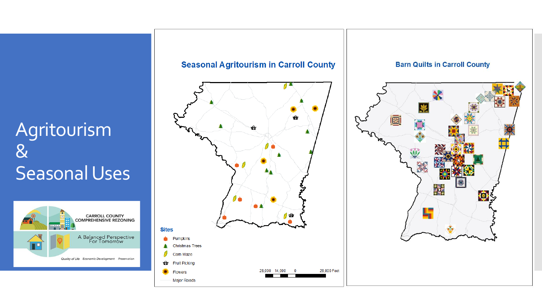#### Agritourism & Seasonal Uses





#### **Barn Quilts in Carroll County**

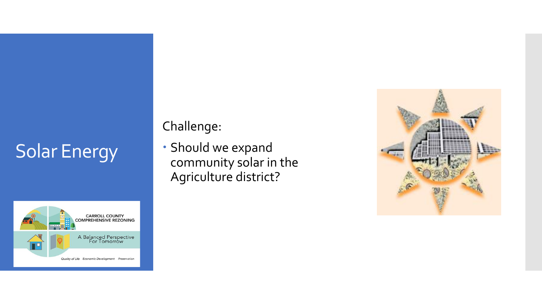## Solar Energy



#### Challenge:

 Should we expand community solar in the Agriculture district?

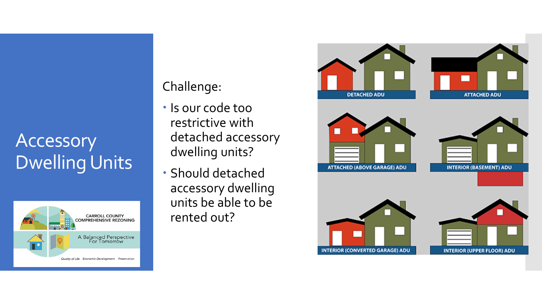#### Accessory Dwelling Units



#### Challenge:

- Is our code too restrictive with detached accessory dwelling units?
- Should detached accessory dwelling units be able to be rented out?